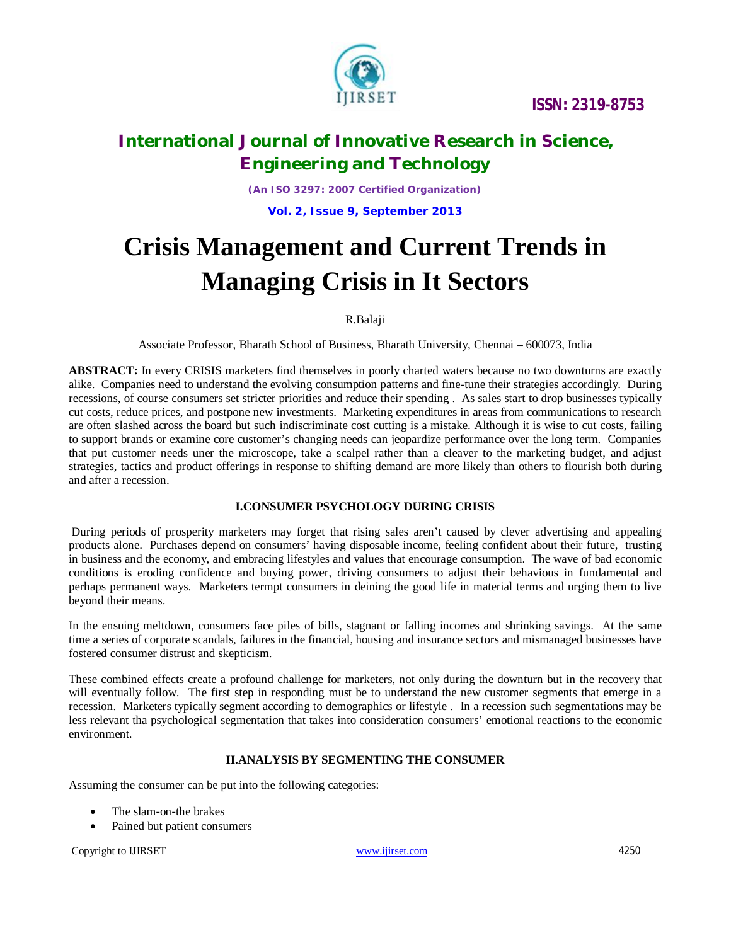

# **International Journal of Innovative Research in Science, Engineering and Technology**

*(An ISO 3297: 2007 Certified Organization)*

**Vol. 2, Issue 9, September 2013**

# **Crisis Management and Current Trends in Managing Crisis in It Sectors**

### R.Balaji

Associate Professor, Bharath School of Business, Bharath University, Chennai – 600073, India

**ABSTRACT:** In every CRISIS marketers find themselves in poorly charted waters because no two downturns are exactly alike. Companies need to understand the evolving consumption patterns and fine-tune their strategies accordingly. During recessions, of course consumers set stricter priorities and reduce their spending . As sales start to drop businesses typically cut costs, reduce prices, and postpone new investments. Marketing expenditures in areas from communications to research are often slashed across the board but such indiscriminate cost cutting is a mistake. Although it is wise to cut costs, failing to support brands or examine core customer's changing needs can jeopardize performance over the long term. Companies that put customer needs uner the microscope, take a scalpel rather than a cleaver to the marketing budget, and adjust strategies, tactics and product offerings in response to shifting demand are more likely than others to flourish both during and after a recession.

### **I.CONSUMER PSYCHOLOGY DURING CRISIS**

During periods of prosperity marketers may forget that rising sales aren't caused by clever advertising and appealing products alone. Purchases depend on consumers' having disposable income, feeling confident about their future, trusting in business and the economy, and embracing lifestyles and values that encourage consumption. The wave of bad economic conditions is eroding confidence and buying power, driving consumers to adjust their behavious in fundamental and perhaps permanent ways. Marketers termpt consumers in deining the good life in material terms and urging them to live beyond their means.

In the ensuing meltdown, consumers face piles of bills, stagnant or falling incomes and shrinking savings. At the same time a series of corporate scandals, failures in the financial, housing and insurance sectors and mismanaged businesses have fostered consumer distrust and skepticism.

These combined effects create a profound challenge for marketers, not only during the downturn but in the recovery that will eventually follow. The first step in responding must be to understand the new customer segments that emerge in a recession. Marketers typically segment according to demographics or lifestyle . In a recession such segmentations may be less relevant tha psychological segmentation that takes into consideration consumers' emotional reactions to the economic environment.

### **II.ANALYSIS BY SEGMENTING THE CONSUMER**

Assuming the consumer can be put into the following categories:

- The slam-on-the brakes
- Pained but patient consumers

Copyright to UIRSET and the control of the www.ijirset.com 4250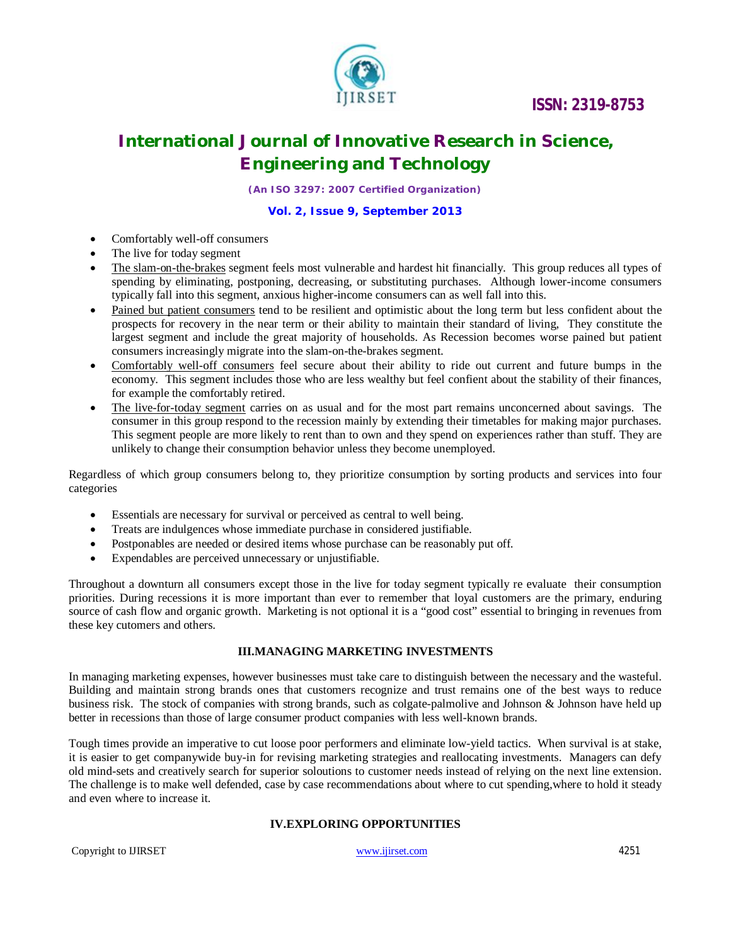### **ISSN: 2319-8753**



### **International Journal of Innovative Research in Science, Engineering and Technology**

*(An ISO 3297: 2007 Certified Organization)*

### **Vol. 2, Issue 9, September 2013**

- Comfortably well-off consumers
- The live for today segment
- The slam-on-the-brakes segment feels most vulnerable and hardest hit financially. This group reduces all types of spending by eliminating, postponing, decreasing, or substituting purchases. Although lower-income consumers typically fall into this segment, anxious higher-income consumers can as well fall into this.
- Pained but patient consumers tend to be resilient and optimistic about the long term but less confident about the prospects for recovery in the near term or their ability to maintain their standard of living, They constitute the largest segment and include the great majority of households. As Recession becomes worse pained but patient consumers increasingly migrate into the slam-on-the-brakes segment.
- Comfortably well-off consumers feel secure about their ability to ride out current and future bumps in the economy. This segment includes those who are less wealthy but feel confient about the stability of their finances, for example the comfortably retired.
- The live-for-today segment carries on as usual and for the most part remains unconcerned about savings. The consumer in this group respond to the recession mainly by extending their timetables for making major purchases. This segment people are more likely to rent than to own and they spend on experiences rather than stuff. They are unlikely to change their consumption behavior unless they become unemployed.

Regardless of which group consumers belong to, they prioritize consumption by sorting products and services into four categories

- Essentials are necessary for survival or perceived as central to well being.
- Treats are indulgences whose immediate purchase in considered justifiable.
- Postponables are needed or desired items whose purchase can be reasonably put off.
- Expendables are perceived unnecessary or unjustifiable.

Throughout a downturn all consumers except those in the live for today segment typically re evaluate their consumption priorities. During recessions it is more important than ever to remember that loyal customers are the primary, enduring source of cash flow and organic growth. Marketing is not optional it is a "good cost" essential to bringing in revenues from these key cutomers and others.

#### **III.MANAGING MARKETING INVESTMENTS**

In managing marketing expenses, however businesses must take care to distinguish between the necessary and the wasteful. Building and maintain strong brands ones that customers recognize and trust remains one of the best ways to reduce business risk. The stock of companies with strong brands, such as colgate-palmolive and Johnson & Johnson have held up better in recessions than those of large consumer product companies with less well-known brands.

Tough times provide an imperative to cut loose poor performers and eliminate low-yield tactics. When survival is at stake, it is easier to get companywide buy-in for revising marketing strategies and reallocating investments. Managers can defy old mind-sets and creatively search for superior soloutions to customer needs instead of relying on the next line extension. The challenge is to make well defended, case by case recommendations about where to cut spending,where to hold it steady and even where to increase it.

### **IV.EXPLORING OPPORTUNITIES**

Copyright to IJIRSET www.ijirset.com 4251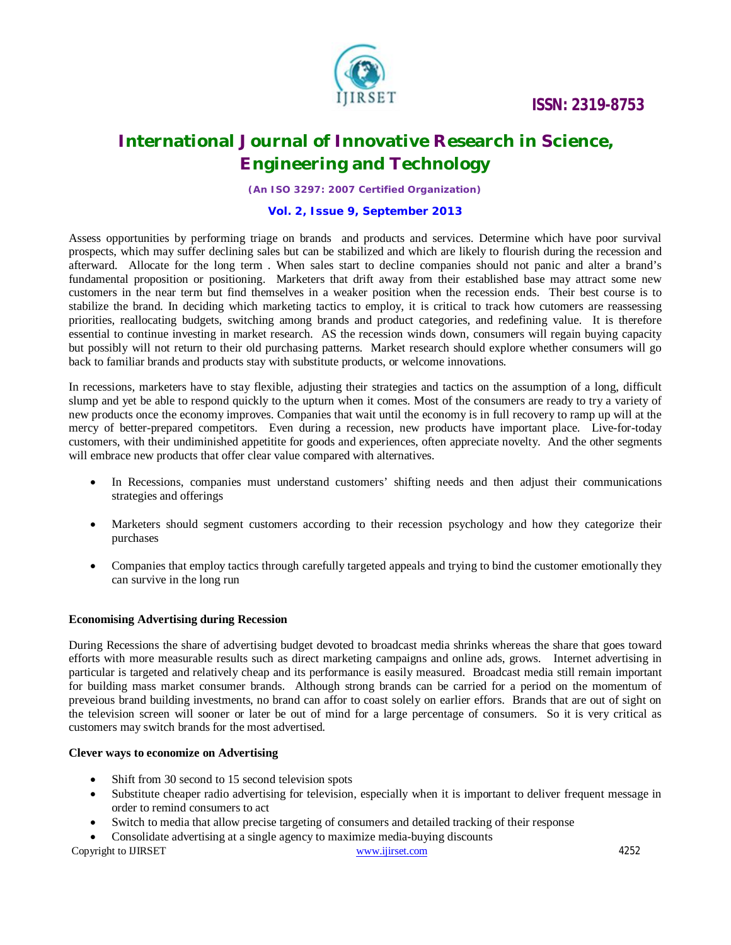

## **International Journal of Innovative Research in Science, Engineering and Technology**

*(An ISO 3297: 2007 Certified Organization)*

### **Vol. 2, Issue 9, September 2013**

Assess opportunities by performing triage on brands and products and services. Determine which have poor survival prospects, which may suffer declining sales but can be stabilized and which are likely to flourish during the recession and afterward. Allocate for the long term . When sales start to decline companies should not panic and alter a brand's fundamental proposition or positioning. Marketers that drift away from their established base may attract some new customers in the near term but find themselves in a weaker position when the recession ends. Their best course is to stabilize the brand. In deciding which marketing tactics to employ, it is critical to track how cutomers are reassessing priorities, reallocating budgets, switching among brands and product categories, and redefining value. It is therefore essential to continue investing in market research. AS the recession winds down, consumers will regain buying capacity but possibly will not return to their old purchasing patterns. Market research should explore whether consumers will go back to familiar brands and products stay with substitute products, or welcome innovations.

In recessions, marketers have to stay flexible, adjusting their strategies and tactics on the assumption of a long, difficult slump and yet be able to respond quickly to the upturn when it comes. Most of the consumers are ready to try a variety of new products once the economy improves. Companies that wait until the economy is in full recovery to ramp up will at the mercy of better-prepared competitors. Even during a recession, new products have important place. Live-for-today customers, with their undiminished appetitite for goods and experiences, often appreciate novelty. And the other segments will embrace new products that offer clear value compared with alternatives.

- In Recessions, companies must understand customers' shifting needs and then adjust their communications strategies and offerings
- Marketers should segment customers according to their recession psychology and how they categorize their purchases
- Companies that employ tactics through carefully targeted appeals and trying to bind the customer emotionally they can survive in the long run

#### **Economising Advertising during Recession**

During Recessions the share of advertising budget devoted to broadcast media shrinks whereas the share that goes toward efforts with more measurable results such as direct marketing campaigns and online ads, grows. Internet advertising in particular is targeted and relatively cheap and its performance is easily measured. Broadcast media still remain important for building mass market consumer brands. Although strong brands can be carried for a period on the momentum of preveious brand building investments, no brand can affor to coast solely on earlier effors. Brands that are out of sight on the television screen will sooner or later be out of mind for a large percentage of consumers. So it is very critical as customers may switch brands for the most advertised.

#### **Clever ways to economize on Advertising**

- Shift from 30 second to 15 second television spots
- Substitute cheaper radio advertising for television, especially when it is important to deliver frequent message in order to remind consumers to act
- Switch to media that allow precise targeting of consumers and detailed tracking of their response
- Consolidate advertising at a single agency to maximize media-buying discounts

Copyright to IJIRSET www.ijirset.com 4252